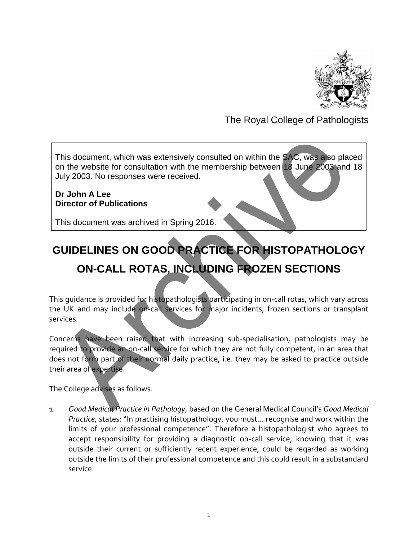

## The Royal College of Pathologists

This document, which was extensively consulted on within the SAC, was also placed on the website for consultation with the membership between 18 June 2003 and 18 July 2003. No responses were received.

#### **Dr John A Lee Director of Publications**

This document was archived in Spring 2016.

# **GUIDELINES ON GOOD PRACTICE FOR HISTOPATHOLOGY ON-CALL ROTAS, INCLUDING FROZEN SECTIONS**

This guidance is provided for histopathologists participating in on-call rotas, which vary across the UK and may include on-call services for major incidents, frozen sections or transplant services.

Concerns have been raised that with increasing sub-specialisation, pathologists may be required to provide an on-call service for which they are not fully competent, in an area that does not form part of their normal daily practice, i.e. they may be asked to practice outside their area of expertise.

The College advises as follows.

1. *Good Medical Practice in Pathology*, based on the General Medical Council's *Good Medical Practice,* states: "In practising histopathology, you must… recognise and work within the limits of your professional competence". Therefore a histopathologist who agrees to accept responsibility for providing a diagnostic on-call service, knowing that it was outside their current or sufficiently recent experience, could be regarded as working outside the limits of their professional competence and this could result in a substandard service.